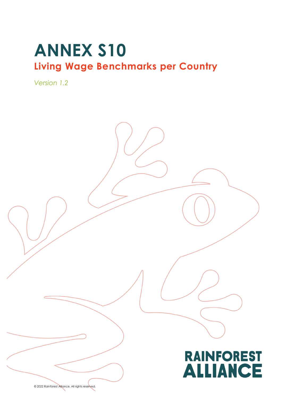# **ANNEX S10 Living Wage Benchmarks per Country**

*Version 1.2*



© 2022 Rainforest Alliance. All rights reserved.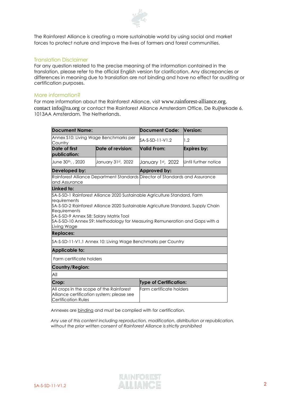

The Rainforest Alliance is creating a more sustainable world by using social and market forces to protect nature and improve the lives of farmers and forest communities.

#### Translation Disclaimer

For any question related to the precise meaning of the information contained in the translation, please refer to the official English version for clarification. Any discrepancies or differences in meaning due to translation are not binding and have no effect for auditing or certification purposes.

#### More information?

For more information about the Rainforest Alliance, visit [www.rainforest-alliance.org](http://www.rainforest-alliance.org/), contact [info@ra.org](mailto:info@ra.org) or contact the Rainforest Alliance Amsterdam Office, De Ruijterkade 6, 1013AA Amsterdam, The Netherlands.

| <b>Document Name:</b>                                                                                               |                    | <b>Document Code:</b>                                                                                                                                              | <b>Version:</b>      |
|---------------------------------------------------------------------------------------------------------------------|--------------------|--------------------------------------------------------------------------------------------------------------------------------------------------------------------|----------------------|
| Annex S10: Living Wage Benchmarks per<br>Country                                                                    |                    | SA-S-SD-11-V1.2                                                                                                                                                    | 1.2                  |
| Date of first<br>publication:                                                                                       | Date of revision:  | Valid From:                                                                                                                                                        | Expires by:          |
| June 30 <sup>th</sup> , , 2020                                                                                      | January 31st, 2022 | January 1st, 2022                                                                                                                                                  | Until further notice |
| Developed by:                                                                                                       |                    | Approved by:                                                                                                                                                       |                      |
| Rainforest Alliance Department Standards Director of Standards and Assurance<br>and Assurance                       |                    |                                                                                                                                                                    |                      |
| Linked to:                                                                                                          |                    |                                                                                                                                                                    |                      |
| <b>Requirements</b><br>SA-S-SD-9 Annex S8: Salary Matrix Tool<br>Living Wage<br><b>Replaces:</b>                    |                    | SA-S-SD-2 Rainforest Alliance 2020 Sustainable Agriculture Standard, Supply Chain<br>\$A-S-SD-10 Annex \$9: Methodology for Measuring Remuneration and Gaps with a |                      |
| \$A-\$-\$D-11-V1.1 Annex 10: Living Wage Benchmarks per Country                                                     |                    |                                                                                                                                                                    |                      |
| Applicable to:                                                                                                      |                    |                                                                                                                                                                    |                      |
| Farm certificate holders                                                                                            |                    |                                                                                                                                                                    |                      |
| Country/Region:                                                                                                     |                    |                                                                                                                                                                    |                      |
| All                                                                                                                 |                    |                                                                                                                                                                    |                      |
| Crop:                                                                                                               |                    | <b>Type of Certification:</b>                                                                                                                                      |                      |
| All crops in the scope of the Rainforest<br>Alliance certification system; please see<br><b>Certification Rules</b> |                    | Farm certificate holders                                                                                                                                           |                      |

Annexes are binding and must be complied with for certification.

*Any use of this content including reproduction, modification, distribution or republication, without the prior written consent of Rainforest Alliance is strictly prohibited*

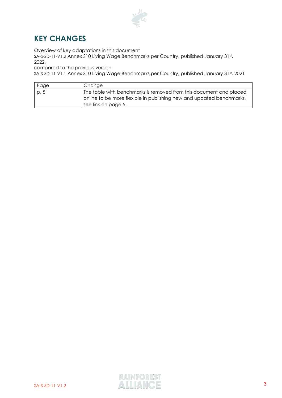

## **KEY CHANGES**

Overview of key adaptations in this document

SA-S-SD-11-V1.2 Annex S10 Living Wage Benchmarks per Country, published January 31st, 2022,

compared to the previous version

SA-S-SD-11-V1.1 Annex S10 Living Wage Benchmarks per Country, published January 31st, 2021

| Page | Change                                                               |
|------|----------------------------------------------------------------------|
| p. 5 | The table with benchmarks is removed from this document and placed   |
|      | online to be more flexible in publishing new and updated benchmarks, |
|      | see link on page 5.                                                  |

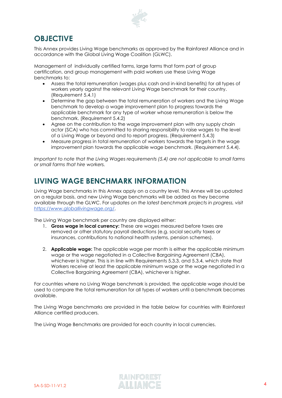

### **OBJECTIVE**

This Annex provides Living Wage benchmarks as approved by the Rainforest Alliance and in accordance with the Global Living Wage Coalition (GLWC).

Management of individually certified farms, large farms that form part of group certification, and group management with paid workers use these Living Wage benchmarks to:

- Assess the total remuneration (wages plus cash and in-kind benefits) for all types of workers yearly against the relevant Living Wage benchmark for their country. (Requirement 5.4.1)
- Determine the gap between the total remuneration of workers and the Living Wage benchmark to develop a wage improvement plan to progress towards the applicable benchmark for any type of worker whose remuneration is below the benchmark. (Requirement 5.4.2)
- Agree on the contribution to the wage improvement plan with any supply chain actor (SCA) who has committed to sharing responsibility to raise wages to the level of a Living Wage or beyond and to report progress. (Requirement 5.4.3)
- Measure progress in total remuneration of workers towards the targets in the wage improvement plan towards the applicable wage benchmark. (Requirement 5.4.4).

*Important to note that the Living Wages requirements (5.4) are not applicable to small farms or small farms that hire workers.*

## **LIVING WAGE BENCHMARK INFORMATION**

Living Wage benchmarks in this Annex apply on a country level. This Annex will be updated on a regular basis, and new Living Wage benchmarks will be added as they become available through the GLWC. For upd*ates on the latest benchmark projects in progress, visit <https://www.globallivingwage.org/>*.

The Living Wage benchmark per country are displayed either:

- 1. **Gross wage in local currency:** These are wages measured before taxes are removed or other statutory payroll deductions (e.g. social security taxes or insurances, contributions to national health systems, pension schemes).
- 2. **Applicable wage:** The applicable wage per month is either the applicable minimum wage or the wage negotiated in a Collective Bargaining Agreement (CBA), whichever is higher. This is in line with Requirements 5.3.3. and 5.3.4, which state that Workers receive at least the applicable minimum wage or the wage negotiated in a Collective Bargaining Agreement (CBA), whichever is higher.

For countries where no Living Wage benchmark is provided, the applicable wage should be used to compare the total remuneration for all types of workers until a benchmark becomes available.

The Living Wage benchmarks are provided in the table below for countries with Rainforest Alliance certified producers.

The Living Wage Benchmarks are provided for each country in local currencies.